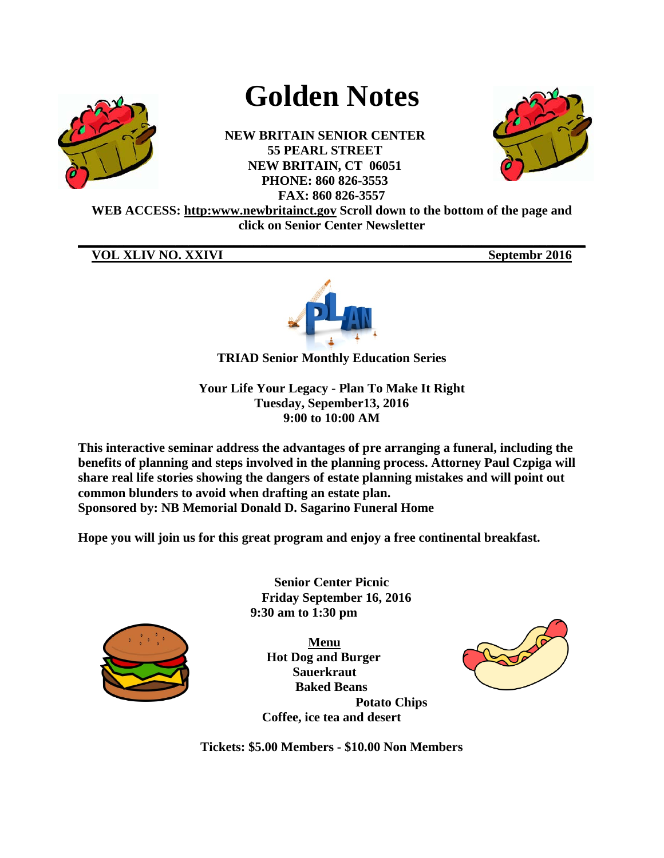

# **Golden Notes**

**NEW BRITAIN SENIOR CENTER 55 PEARL STREET NEW BRITAIN, CT 06051 PHONE: 860 826-3553 FAX: 860 826-3557**



**WEB ACCESS: http:www.newbritainct.gov Scroll down to the bottom of the page and click on Senior Center Newsletter** 

**\_\_\_\_\_\_\_\_\_\_\_\_\_\_\_\_\_\_\_\_\_\_\_\_\_\_\_\_\_\_\_\_\_\_\_\_\_\_\_\_\_\_\_\_\_\_\_\_\_\_\_\_\_\_\_\_\_\_\_\_\_\_\_\_\_\_\_\_\_\_\_\_\_\_\_\_\_\_**

**VOL XLIV NO. XXIVI** Septembr<sub>2016</sub>



**TRIAD Senior Monthly Education Series**

**Your Life Your Legacy - Plan To Make It Right Tuesday, Sepember13, 2016 9:00 to 10:00 AM**

**This interactive seminar address the advantages of pre arranging a funeral, including the benefits of planning and steps involved in the planning process. Attorney Paul Czpiga will share real life stories showing the dangers of estate planning mistakes and will point out common blunders to avoid when drafting an estate plan. Sponsored by: NB Memorial Donald D. Sagarino Funeral Home**

**Hope you will join us for this great program and enjoy a free continental breakfast.**



**Senior Center Picnic Friday September 16, 2016 9:30 am to 1:30 pm**

**Menu Hot Dog and Burger Sauerkraut Baked Beans Potato Chips Coffee, ice tea and desert**



**Tickets: \$5.00 Members - \$10.00 Non Members**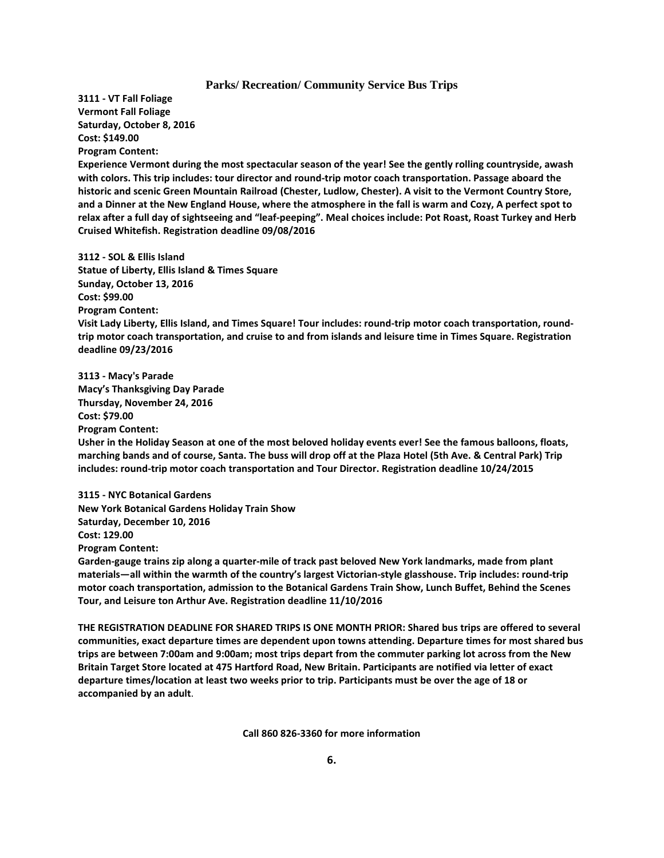#### **Parks/ Recreation/ Community Service Bus Trips**

**3111 - VT Fall Foliage Vermont Fall Foliage Saturday, October 8, 2016 Cost: \$149.00 Program Content:**

**Experience Vermont during the most spectacular season of the year! See the gently rolling countryside, awash with colors. This trip includes: tour director and round-trip motor coach transportation. Passage aboard the historic and scenic Green Mountain Railroad (Chester, Ludlow, Chester). A visit to the Vermont Country Store, and a Dinner at the New England House, where the atmosphere in the fall is warm and Cozy, A perfect spot to relax after a full day of sightseeing and "leaf-peeping". Meal choices include: Pot Roast, Roast Turkey and Herb Cruised Whitefish. Registration deadline 09/08/2016**

**3112 - SOL & Ellis Island Statue of Liberty, Ellis Island & Times Square Sunday, October 13, 2016 Cost: \$99.00 Program Content: Visit Lady Liberty, Ellis Island, and Times Square! Tour includes: round-trip motor coach transportation, roundtrip motor coach transportation, and cruise to and from islands and leisure time in Times Square. Registration deadline 09/23/2016**

**3113 - Macy's Parade Macy's Thanksgiving Day Parade Thursday, November 24, 2016 Cost: \$79.00 Program Content: Usher in the Holiday Season at one of the most beloved holiday events ever! See the famous balloons, floats, marching bands and of course, Santa. The buss will drop off at the Plaza Hotel (5th Ave. & Central Park) Trip includes: round-trip motor coach transportation and Tour Director. Registration deadline 10/24/2015**

**3115 - NYC Botanical Gardens New York Botanical Gardens Holiday Train Show Saturday, December 10, 2016 Cost: 129.00 Program Content:**

**Garden-gauge trains zip along a quarter-mile of track past beloved New York landmarks, made from plant materials—all within the warmth of the country's largest Victorian-style glasshouse. Trip includes: round-trip motor coach transportation, admission to the Botanical Gardens Train Show, Lunch Buffet, Behind the Scenes Tour, and Leisure ton Arthur Ave. Registration deadline 11/10/2016**

**THE REGISTRATION DEADLINE FOR SHARED TRIPS IS ONE MONTH PRIOR: Shared bus trips are offered to several communities, exact departure times are dependent upon towns attending. Departure times for most shared bus trips are between 7:00am and 9:00am; most trips depart from the commuter parking lot across from the New Britain Target Store located at 475 Hartford Road, New Britain. Participants are notified via letter of exact departure times/location at least two weeks prior to trip. Participants must be over the age of 18 or accompanied by an adult**.

**Call 860 826-3360 for more information**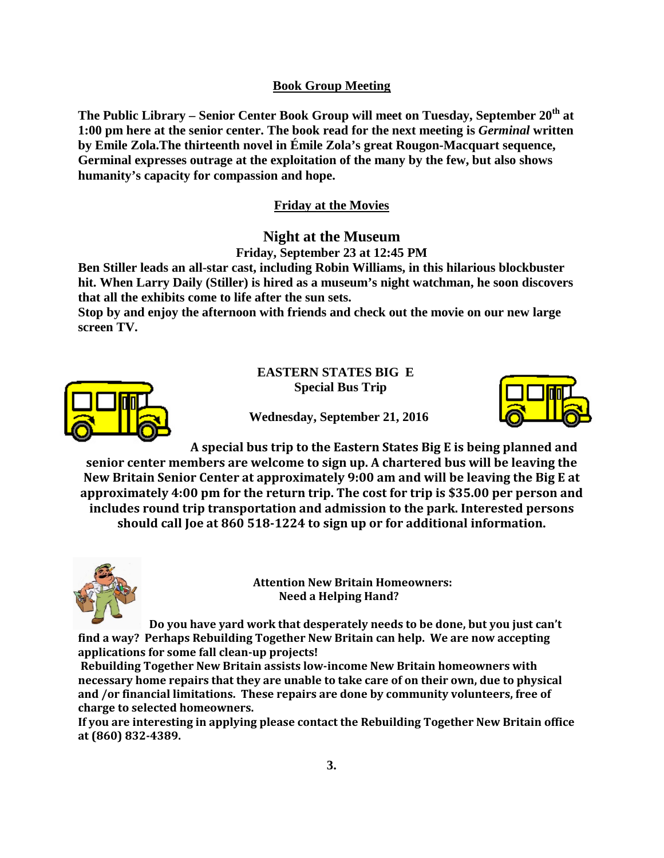# **Book Group Meeting**

The Public Library – Senior Center Book Group will meet on Tuesday, September 20<sup>th</sup> at **1:00 pm here at the senior center. The book read for the next meeting is** *Germinal* **written by Emile Zola.The thirteenth novel in Émile Zola's great Rougon-Macquart sequence, Germinal expresses outrage at the exploitation of the many by the few, but also shows humanity's capacity for compassion and hope.**

# **Friday at the Movies**

# **Night at the Museum Friday, September 23 at 12:45 PM**

**Ben Stiller leads an all-star cast, including Robin Williams, in this hilarious blockbuster hit. When Larry Daily (Stiller) is hired as a museum's night watchman, he soon discovers that all the exhibits come to life after the sun sets.** 

**Stop by and enjoy the afternoon with friends and check out the movie on our new large screen TV.** 



**EASTERN STATES BIG E Special Bus Trip**



 **Wednesday, September 21, 2016**

**A special bus trip to the Eastern States Big E is being planned and senior center members are welcome to sign up. A chartered bus will be leaving the New Britain Senior Center at approximately 9:00 am and will be leaving the Big E at approximately 4:00 pm for the return trip. The cost for trip is \$35.00 per person and includes round trip transportation and admission to the park. Interested persons should call Joe at 860 518-1224 to sign up or for additional information.** 



 **Attention New Britain Homeowners: Need a Helping Hand?**

**Do you have yard work that desperately needs to be done, but you just can't find a way? Perhaps Rebuilding Together New Britain can help. We are now accepting applications for some fall clean-up projects!**

**Rebuilding Together New Britain assists low-income New Britain homeowners with necessary home repairs that they are unable to take care of on their own, due to physical and /or financial limitations. These repairs are done by community volunteers, free of charge to selected homeowners.**

**If you are interesting in applying please contact the Rebuilding Together New Britain office at (860) 832-4389.**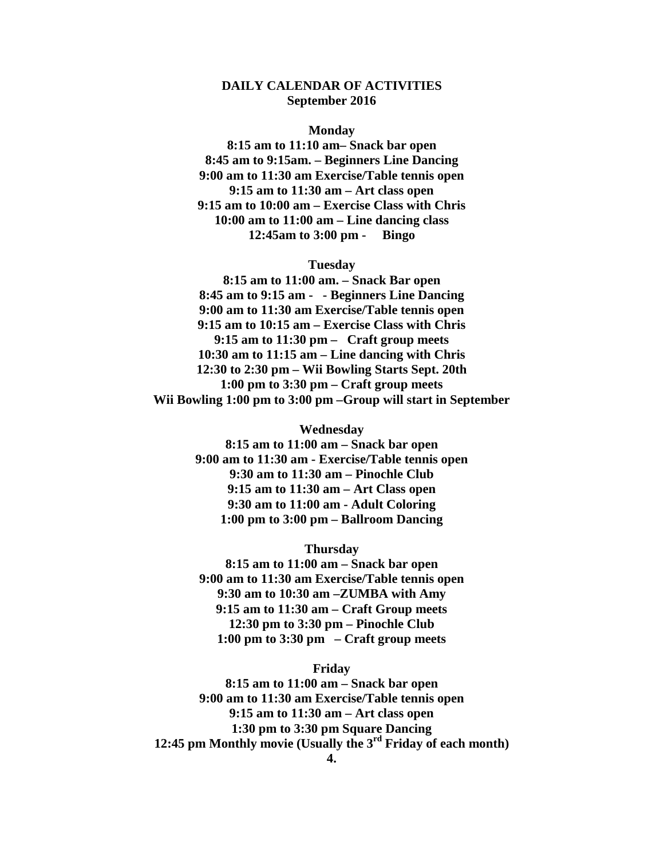## **DAILY CALENDAR OF ACTIVITIES September 2016**

#### **Monday**

**8:15 am to 11:10 am– Snack bar open 8:45 am to 9:15am. – Beginners Line Dancing 9:00 am to 11:30 am Exercise/Table tennis open 9:15 am to 11:30 am – Art class open 9:15 am to 10:00 am – Exercise Class with Chris 10:00 am to 11:00 am – Line dancing class 12:45am to 3:00 pm - Bingo**

#### **Tuesday**

**8:15 am to 11:00 am. – Snack Bar open 8:45 am to 9:15 am - - Beginners Line Dancing 9:00 am to 11:30 am Exercise/Table tennis open 9:15 am to 10:15 am – Exercise Class with Chris 9:15 am to 11:30 pm – Craft group meets 10:30 am to 11:15 am – Line dancing with Chris 12:30 to 2:30 pm – Wii Bowling Starts Sept. 20th 1:00 pm to 3:30 pm – Craft group meets Wii Bowling 1:00 pm to 3:00 pm –Group will start in September**

> **Wednesday 8:15 am to 11:00 am – Snack bar open 9:00 am to 11:30 am - Exercise/Table tennis open 9:30 am to 11:30 am – Pinochle Club 9:15 am to 11:30 am – Art Class open 9:30 am to 11:00 am - Adult Coloring 1:00 pm to 3:00 pm – Ballroom Dancing**

> > **Thursday**

**8:15 am to 11:00 am – Snack bar open 9:00 am to 11:30 am Exercise/Table tennis open 9:30 am to 10:30 am –ZUMBA with Amy 9:15 am to 11:30 am – Craft Group meets 12:30 pm to 3:30 pm – Pinochle Club 1:00 pm to 3:30 pm – Craft group meets**

#### **Friday**

**8:15 am to 11:00 am – Snack bar open 9:00 am to 11:30 am Exercise/Table tennis open 9:15 am to 11:30 am – Art class open 1:30 pm to 3:30 pm Square Dancing 12:45 pm Monthly movie (Usually the 3rd Friday of each month)**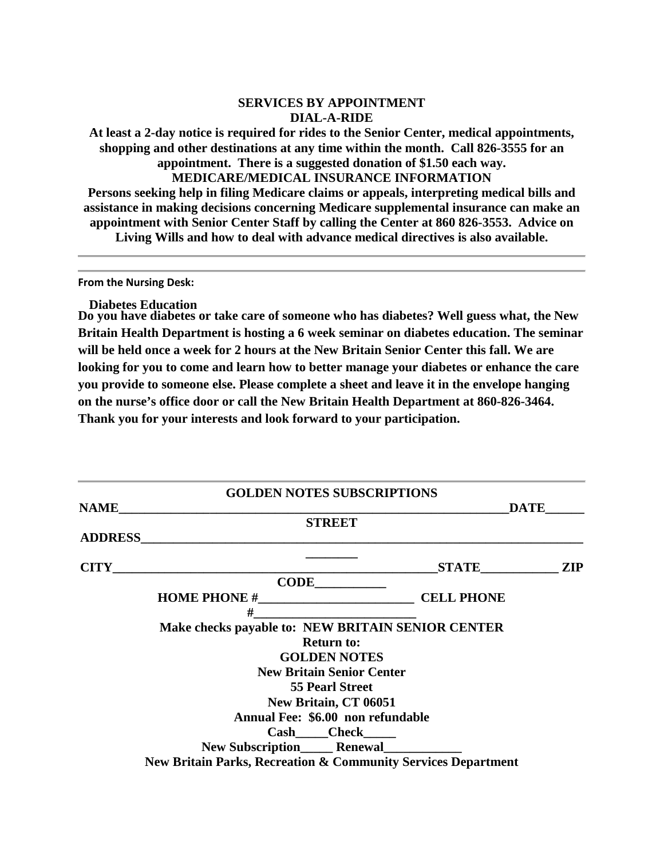### **SERVICES BY APPOINTMENT DIAL-A-RIDE**

**At least a 2-day notice is required for rides to the Senior Center, medical appointments, shopping and other destinations at any time within the month. Call 826-3555 for an appointment. There is a suggested donation of \$1.50 each way. MEDICARE/MEDICAL INSURANCE INFORMATION**

**Persons seeking help in filing Medicare claims or appeals, interpreting medical bills and assistance in making decisions concerning Medicare supplemental insurance can make an appointment with Senior Center Staff by calling the Center at 860 826-3553. Advice on Living Wills and how to deal with advance medical directives is also available.**

**From the Nursing Desk:**

**Diabetes Education**

**Do you have diabetes or take care of someone who has diabetes? Well guess what, the New Britain Health Department is hosting a 6 week seminar on diabetes education. The seminar will be held once a week for 2 hours at the New Britain Senior Center this fall. We are looking for you to come and learn how to better manage your diabetes or enhance the care you provide to someone else. Please complete a sheet and leave it in the envelope hanging on the nurse's office door or call the New Britain Health Department at 860-826-3464. Thank you for your interests and look forward to your participation.**

|                | <b>GOLDEN NOTES SUBSCRIPTIONS</b>                                                                                                                                                                                                   |             |  |
|----------------|-------------------------------------------------------------------------------------------------------------------------------------------------------------------------------------------------------------------------------------|-------------|--|
| <b>NAME</b>    |                                                                                                                                                                                                                                     | <b>DATE</b> |  |
|                | <b>STREET</b>                                                                                                                                                                                                                       |             |  |
| <b>ADDRESS</b> |                                                                                                                                                                                                                                     |             |  |
|                | $CITY$ and $CITY$ and $CITY$ and $CYZ$ are $CZ$ and $CZ$ are $CZ$ and $CZ$ are $CZ$ and $CZ$ are $CZ$ and $CZ$ are $CZ$ and $CZ$ are $CZ$ and $CZ$ are $CZ$ and $CZ$ are $CZ$ and $CZ$ are $CZ$ and $CZ$ are $CZ$ and $CZ$ are $CZ$ | STATE ZIP   |  |
|                |                                                                                                                                                                                                                                     |             |  |
|                |                                                                                                                                                                                                                                     |             |  |
|                | #                                                                                                                                                                                                                                   |             |  |
|                | Make checks payable to: NEW BRITAIN SENIOR CENTER                                                                                                                                                                                   |             |  |
|                | <b>Return to:</b>                                                                                                                                                                                                                   |             |  |
|                | <b>GOLDEN NOTES</b>                                                                                                                                                                                                                 |             |  |
|                | <b>New Britain Senior Center</b>                                                                                                                                                                                                    |             |  |
|                | <b>55 Pearl Street</b>                                                                                                                                                                                                              |             |  |
|                | New Britain, CT 06051                                                                                                                                                                                                               |             |  |
|                | Annual Fee: \$6.00 non refundable                                                                                                                                                                                                   |             |  |
|                | Cash Check                                                                                                                                                                                                                          |             |  |
|                |                                                                                                                                                                                                                                     |             |  |
|                | <b>New Britain Parks, Recreation &amp; Community Services Department</b>                                                                                                                                                            |             |  |